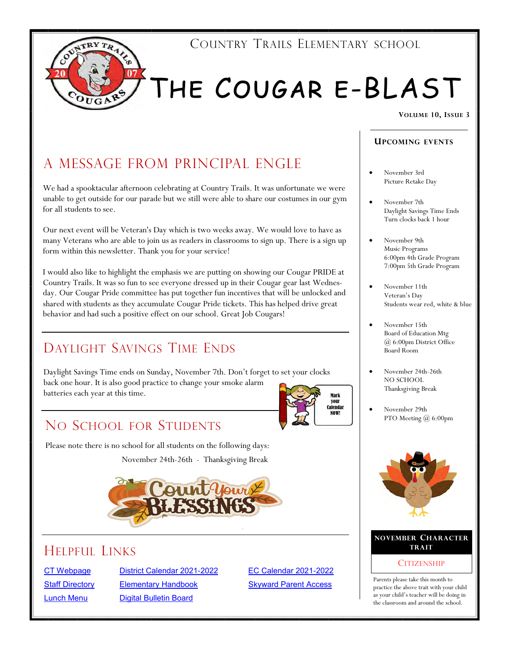

## THE COUGAR E-BLAST

#### **VOLUME 10, ISSUE 3**

## A MESSAGE FROM PRINCIPAL ENGLE

We had a spooktacular afternoon celebrating at Country Trails. It was unfortunate we were unable to get outside for our parade but we still were able to share our costumes in our gym for all students to see.

Our next event will be Veteran's Day which is two weeks away. We would love to have as many Veterans who are able to join us as readers in classrooms to sign up. There is a sign up form within this newsletter. Thank you for your service!

I would also like to highlight the emphasis we are putting on showing our Cougar PRIDE at Country Trails. It was so fun to see everyone dressed up in their Cougar gear last Wednesday. Our Cougar Pride committee has put together fun incentives that will be unlocked and shared with students as they accumulate Cougar Pride tickets. This has helped drive great behavior and had such a positive effect on our school. Great Job Cougars!

### DAYLIGHT SAVINGS TIME ENDS

Daylight Savings Time ends on Sunday, November 7th. Don't forget to set your clocks back one hour. It is also good practice to change your smoke alarm batteries each year at this time.



### NO SCHOOL FOR STUDENTS

Please note there is no school for all students on the following days:

November 24th-26th - Thanksgiving Break



#### **TRAIT TRAIT**

[CT Webpage](https://ct.central301.net/) [District Calendar 2021](https://central301.net/wp-content/uploads/2021/02/FINAL-2021-2022-Calendar-.pdf)-2022 [EC Calendar 2021](https://central301.net/wp-content/uploads/2021/07/EC-Calendar-2021-2022.pdf)-2022 **[Staff Directory](https://central301.net/staff-directory/)** [Elementary Handbook](https://ct.central301.net/elementary-handbook/) [Skyward Parent Access](https://skyward.central301.net/scripts/wsisa.dll/WService=wsEAplus/fwemnu01.w) [Lunch Menu](https://central301.net/food-service/lunch-menus/) [Digital Bulletin Board](https://central301.net/digital-bulletin-board/)

#### **UPCOM ING EVENTS**

- November 3rd Picture Retake Day
- November 7th Daylight Savings Time Ends Turn clocks back 1 hour
- November 9th Music Programs 6:00pm 4th Grade Program 7:00pm 5th Grade Program
- November 11th Veteran's Day Students wear red, white & blue
- November 15th Board of Education Mtg @ 6:00pm District Office Board Room
- November 24th-26th NO SCHOOL Thanksgiving Break
- November 29th PTO Meeting @ 6:00pm



## **NOVEMBER CHARACTER**

#### **CITIZENSHIP**

Parents please take this month to practice the above trait with your child as your child's teacher will be doing in the classroom and around the school.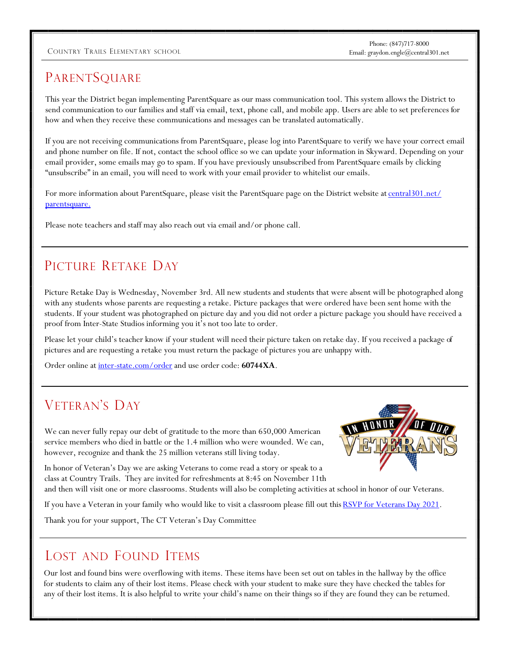#### COUNTRY TRAILS ELEMENTARY SCHOOL Email: graydon.engle@central301.net

Phone: (847)717-8000

#### **PARENTSQUARE**

This year the District began implementing ParentSquare as our mass communication tool. This system allows the District to send communication to our families and staff via email, text, phone call, and mobile app. Users are able to set preferences for how and when they receive these communications and messages can be translated automatically.

If you are not receiving communications from ParentSquare, please log into ParentSquare to verify we have your correct email and phone number on file. If not, contact the school office so we can update your information in Skyward. Depending on your email provider, some emails may go to spam. If you have previously unsubscribed from ParentSquare emails by clicking "unsubscribe" in an email, you will need to work with your email provider to whitelist our emails.

For more information about ParentSquare, please visit the ParentSquare page on the District website at [central301.net/](https://central301.net/parentsquare/) [parentsquare.](https://central301.net/parentsquare/)

Please note teachers and staff may also reach out via email and/or phone call.

#### PICTURE RETAKE DAY

Picture Retake Day is Wednesday, November 3rd. All new students and students that were absent will be photographed along with any students whose parents are requesting a retake. Picture packages that were ordered have been sent home with the students. If your student was photographed on picture day and you did not order a picture package you should have received a proof from Inter-State Studios informing you it's not too late to order.

Please let your child's teacher know if your student will need their picture taken on retake day. If you received a package of pictures and are requesting a retake you must return the package of pictures you are unhappy with.

Order online at [inter-state.com/order](https://inter-state.com/order) and use order code: **60744XA**.

#### VETERAN'S DAY

We can never fully repay our debt of gratitude to the more than 650,000 American service members who died in battle or the 1.4 million who were wounded. We can, however, recognize and thank the 25 million veterans still living today.



In honor of Veteran's Day we are asking Veterans to come read a story or speak to a class at Country Trails. They are invited for refreshments at 8:45 on November 11th and then will visit one or more classrooms. Students will also be completing activities at school in honor of our Veterans.

If you have a Veteran in your family who would like to visit a classroom please fill out this RSVP for Veterans Day 2021.

Thank you for your support, The CT Veteran's Day Committee

#### LOST AND FOUND ITEMS

Our lost and found bins were overflowing with items. These items have been set out on tables in the hallway by the office for students to claim any of their lost items. Please check with your student to make sure they have checked the tables for any of their lost items. It is also helpful to write your child's name on their things so if they are found they can be returned.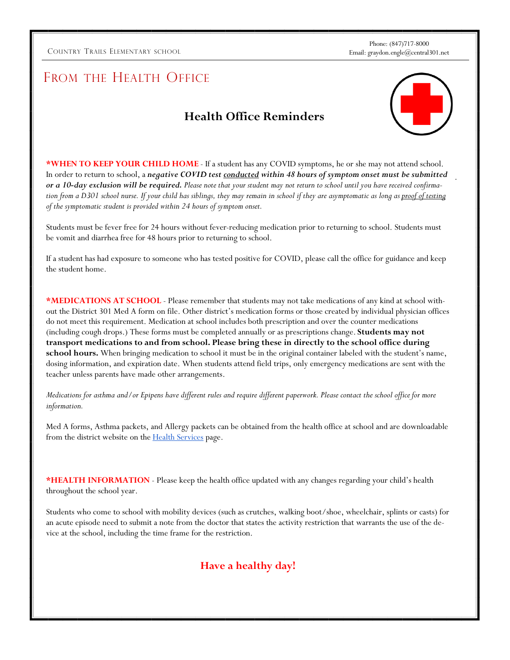COUNTRY TRAILS ELEMENTARY SCHOOL Email: graydon.engle@central301.net

Phone: (847)717-8000

#### FROM THE HEALTH OFFICE

#### **Health Office Reminders**



.

**\*WHEN TO KEEP YOUR CHILD HOME** - If a student has any COVID symptoms, he or she may not attend school. In order to return to school, a *negative COVID test conducted within 48 hours of symptom onset must be submitted or a 10-day exclusion will be required. Please note that your student may not return to school until you have received confirmation from a D301 school nurse. If your child has siblings, they may remain in school if they are asymptomatic as long as proof of testing of the symptomatic student is provided within 24 hours of symptom onset.*

Students must be fever free for 24 hours without fever-reducing medication prior to returning to school. Students must be vomit and diarrhea free for 48 hours prior to returning to school.

If a student has had exposure to someone who has tested positive for COVID, please call the office for guidance and keep the student home.

**\*MEDICATIONS AT SCHOOL** - Please remember that students may not take medications of any kind at school without the District 301 Med A form on file. Other district's medication forms or those created by individual physician offices do not meet this requirement. Medication at school includes both prescription and over the counter medications (including cough drops.) These forms must be completed annually or as prescriptions change. **Students may not transport medications to and from school. Please bring these in directly to the school office during school hours.** When bringing medication to school it must be in the original container labeled with the student's name, dosing information, and expiration date. When students attend field trips, only emergency medications are sent with the teacher unless parents have made other arrangements.

*Medications for asthma and/or Epipens have different rules and require different paperwork. Please contact the school office for more information.*

Med A forms, Asthma packets, and Allergy packets can be obtained from the health office at school and are downloadable from the district website on the **Health Services** page.

**\*HEALTH INFORMATION** - Please keep the health office updated with any changes regarding your child's health throughout the school year.

Students who come to school with mobility devices (such as crutches, walking boot/shoe, wheelchair, splints or casts) for an acute episode need to submit a note from the doctor that states the activity restriction that warrants the use of the device at the school, including the time frame for the restriction.

#### **Have a healthy day!**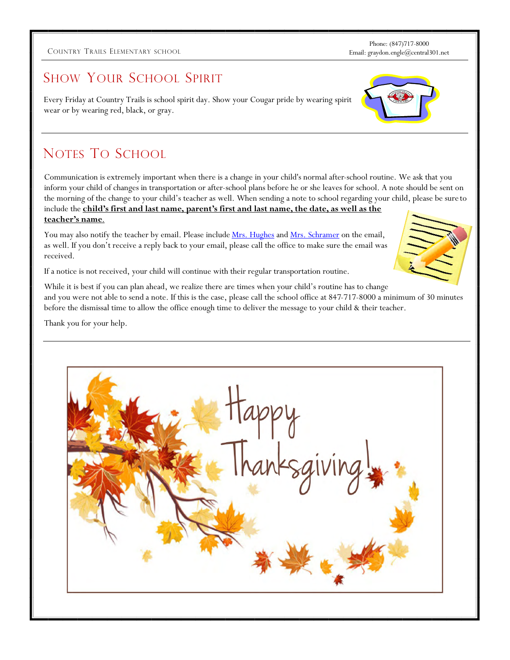#### COUNTRY TRAILS ELEMENTARY SCHOOL Email: graydon.engle@central301.net

Phone: (847)717-8000

#### SHOW YOUR SCHOOL SPIRIT

Every Friday at Country Trails is school spirit day. Show your Cougar pride by wearing spirit wear or by wearing red, black, or gray.

### NOTES TO SCHOOL

Communication is extremely important when there is a change in your child's normal after-school routine. We ask that you inform your child of changes in transportation or after-school plans before he or she leaves for school. A note should be sent on the morning of the change to your child's teacher as well. When sending a note to school regarding your child, please be sure to include the **child's first and last name, parent's first and last name, the date, as well as the teacher's name**.

You may also notify the teacher by email. Please include [Mrs. Hughes](mailto:theresa.hughes@central301.net) and [Mrs. Schramer](mailto:teri.schramer@central301.net) on the email, as well. If you don't receive a reply back to your email, please call the office to make sure the email was received.

If a notice is not received, your child will continue with their regular transportation routine.

While it is best if you can plan ahead, we realize there are times when your child's routine has to change and you were not able to send a note. If this is the case, please call the school office at 847-717-8000 a minimum of 30 minutes before the dismissal time to allow the office enough time to deliver the message to your child & their teacher.

Thank you for your help.





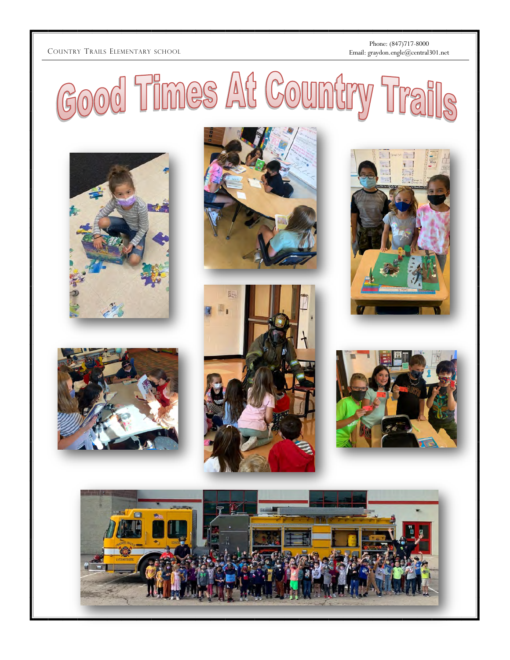#### COUNTRY TRAILS

Phone: (847)717 -8000 Email: graydon.engle@central301.net

Good Times At Country Trails













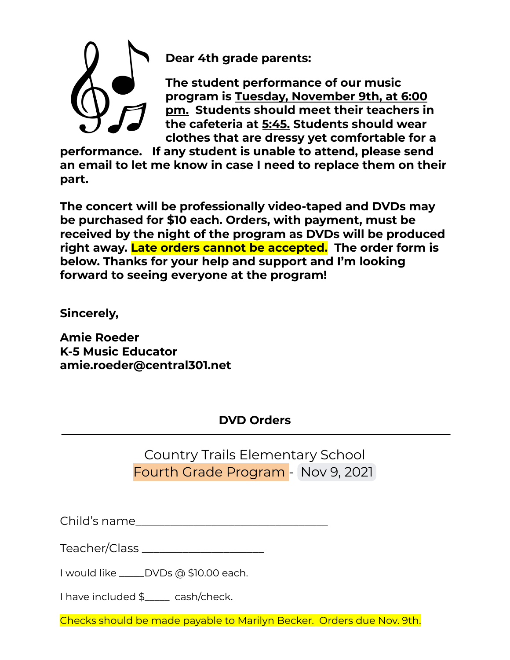

**Dear 4th grade parents:**

**The student performance of our music program is Tuesday, November 9th, at 6:00 pm. Students should meet their teachers in the cafeteria at 5:45. Students should wear clothes that are dressy yet comfortable for a**

**performance. If any student is unable to attend, please send an email to let me know in case I need to replace them on their part.**

**The concert will be professionally video-taped and DVDs may be purchased for \$10 each. Orders, with payment, must be received by the night of the program as DVDs will be produced right away. Late orders cannot be accepted. The order form is below. Thanks for your help and support and I'm looking forward to seeing everyone at the program!**

**Sincerely,**

**Amie Roeder K-5 Music Educator amie.roeder@central301.net**

#### **DVD Orders**

Country Trails Elementary School Fourth Grade Program - Nov 9, 2021

Child's name\_\_\_\_\_\_\_\_\_\_\_\_\_\_\_\_\_\_\_\_\_\_\_\_\_\_\_\_\_\_\_\_\_

Teacher/Class \_\_\_\_\_\_\_\_\_\_\_\_\_\_\_\_\_\_\_\_\_

I would like \_\_\_\_\_DVDs @ \$10.00 each.

I have included \$ cash/check.

Checks should be made payable to Marilyn Becker. Orders due Nov. 9th.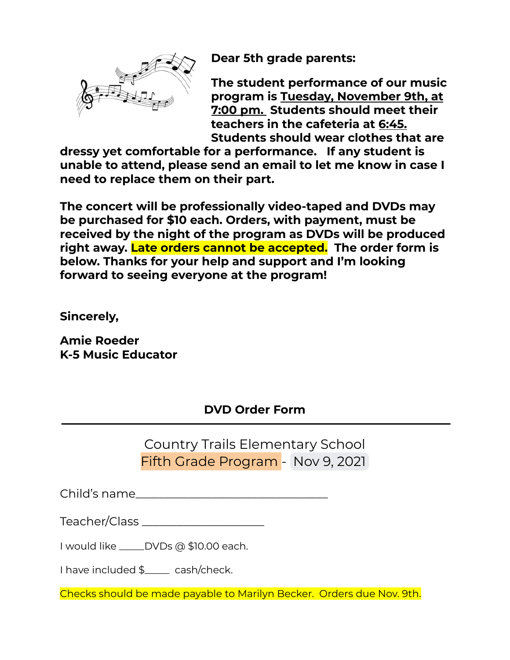

**Dear 5th grade parents:**

**The student performance of our music program is Tuesday, November 9th, at 7:00 pm. Students should meet their teachers in the cafeteria at 6:45. Students should wear clothes that are**

**dressy yet comfortable for a performance. If any student is unable to attend, please send an email to let me know in case I need to replace them on their part.**

**The concert will be professionally video-taped and DVDs may be purchased for \$10 each. Orders, with payment, must be received by the night of the program as DVDs will be produced right away. Late orders cannot be accepted. The order form is below. Thanks for your help and support and I'm looking forward to seeing everyone at the program!**

**Sincerely,**

**Amie Roeder K-5 Music Educator**

#### **DVD Order Form**

Country Trails Elementary School Fifth Grade Program - Nov 9, 2021

Child's name\_\_\_\_\_\_\_\_\_\_\_\_\_\_\_\_\_\_\_\_\_\_\_\_\_\_\_\_\_\_\_\_\_

Teacher/Class \_\_\_\_\_\_\_\_\_\_\_\_\_\_\_\_\_\_\_\_\_

I would like \_\_\_\_\_DVDs @ \$10.00 each.

I have included \$ cash/check.

Checks should be made payable to Marilyn Becker. Orders due Nov. 9th.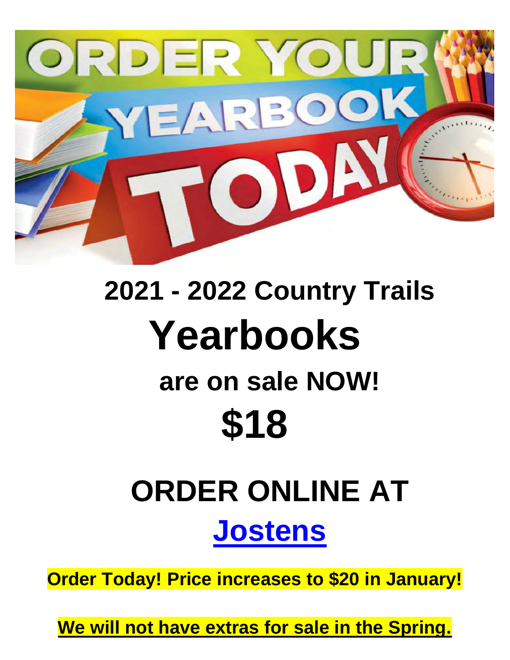

## **2021 - 2022 Country Trails Yearbooks are on sale NOW! \$18**

# **ORDER ONLINE AT [Jostens](http://jostensyearbooks.com/?REF=A01119256)**

**Order Today! Price increases to \$20 in January!**

**We will not have extras for sale in the Spring.**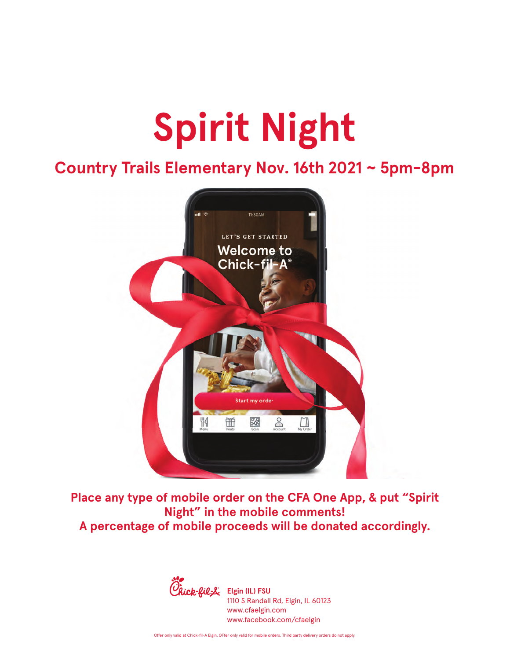# **Spirit Night**

## **Country Trails Elementary Nov. 16th 2021 ~ 5pm-8pm**



**Place any type of mobile order on the CFA One App, & put "Spirit Night" in the mobile comments! A percentage of mobile proceeds will be donated accordingly.** 



1110 S Randall Rd, Elgin, IL 60123 www.cfaelgin.com www.facebook.com/cfaelgin

Offer only valid at Chick-fil-A Elgin. OFfer only valid for mobile orders. Third party delivery orders do not apply.